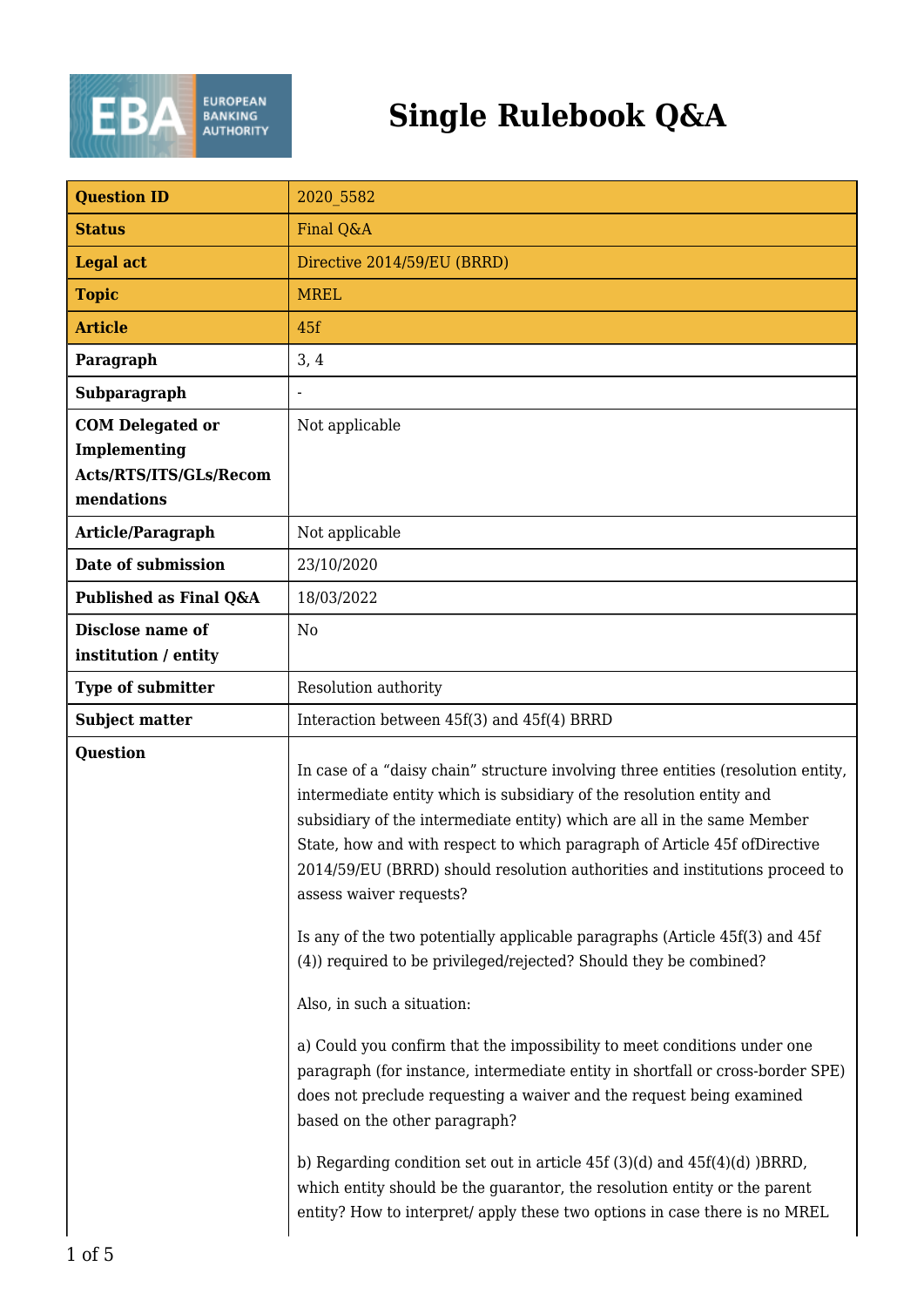

## **Single Rulebook Q&A**

| <b>Question ID</b>                                                              | 2020 5582                                                                                                                                                                                                                                                                                                                                                                                                                                                                                                   |
|---------------------------------------------------------------------------------|-------------------------------------------------------------------------------------------------------------------------------------------------------------------------------------------------------------------------------------------------------------------------------------------------------------------------------------------------------------------------------------------------------------------------------------------------------------------------------------------------------------|
| <b>Status</b>                                                                   | Final Q&A                                                                                                                                                                                                                                                                                                                                                                                                                                                                                                   |
| <b>Legal act</b>                                                                | Directive 2014/59/EU (BRRD)                                                                                                                                                                                                                                                                                                                                                                                                                                                                                 |
| <b>Topic</b>                                                                    | <b>MREL</b>                                                                                                                                                                                                                                                                                                                                                                                                                                                                                                 |
| <b>Article</b>                                                                  | 45f                                                                                                                                                                                                                                                                                                                                                                                                                                                                                                         |
| Paragraph                                                                       | 3, 4                                                                                                                                                                                                                                                                                                                                                                                                                                                                                                        |
| Subparagraph                                                                    |                                                                                                                                                                                                                                                                                                                                                                                                                                                                                                             |
| <b>COM Delegated or</b><br>Implementing<br>Acts/RTS/ITS/GLs/Recom<br>mendations | Not applicable                                                                                                                                                                                                                                                                                                                                                                                                                                                                                              |
| Article/Paragraph                                                               | Not applicable                                                                                                                                                                                                                                                                                                                                                                                                                                                                                              |
| Date of submission                                                              | 23/10/2020                                                                                                                                                                                                                                                                                                                                                                                                                                                                                                  |
| Published as Final Q&A                                                          | 18/03/2022                                                                                                                                                                                                                                                                                                                                                                                                                                                                                                  |
| Disclose name of<br>institution / entity                                        | N <sub>0</sub>                                                                                                                                                                                                                                                                                                                                                                                                                                                                                              |
| <b>Type of submitter</b>                                                        | Resolution authority                                                                                                                                                                                                                                                                                                                                                                                                                                                                                        |
| <b>Subject matter</b>                                                           | Interaction between 45f(3) and 45f(4) BRRD                                                                                                                                                                                                                                                                                                                                                                                                                                                                  |
| <b>Question</b>                                                                 | In case of a "daisy chain" structure involving three entities (resolution entity,<br>intermediate entity which is subsidiary of the resolution entity and<br>subsidiary of the intermediate entity) which are all in the same Member<br>State, how and with respect to which paragraph of Article 45f of Directive<br>2014/59/EU (BRRD) should resolution authorities and institutions proceed to<br>assess waiver requests?<br>Is any of the two potentially applicable paragraphs (Article 45f(3) and 45f |
|                                                                                 | (4) required to be privileged/rejected? Should they be combined?                                                                                                                                                                                                                                                                                                                                                                                                                                            |
|                                                                                 | Also, in such a situation:                                                                                                                                                                                                                                                                                                                                                                                                                                                                                  |
|                                                                                 | a) Could you confirm that the impossibility to meet conditions under one<br>paragraph (for instance, intermediate entity in shortfall or cross-border SPE)<br>does not preclude requesting a waiver and the request being examined<br>based on the other paragraph?                                                                                                                                                                                                                                         |
|                                                                                 | b) Regarding condition set out in article $45f(3)(d)$ and $45f(4)(d)$ )BRRD,<br>which entity should be the guarantor, the resolution entity or the parent<br>entity? How to interpret/ apply these two options in case there is no MREL                                                                                                                                                                                                                                                                     |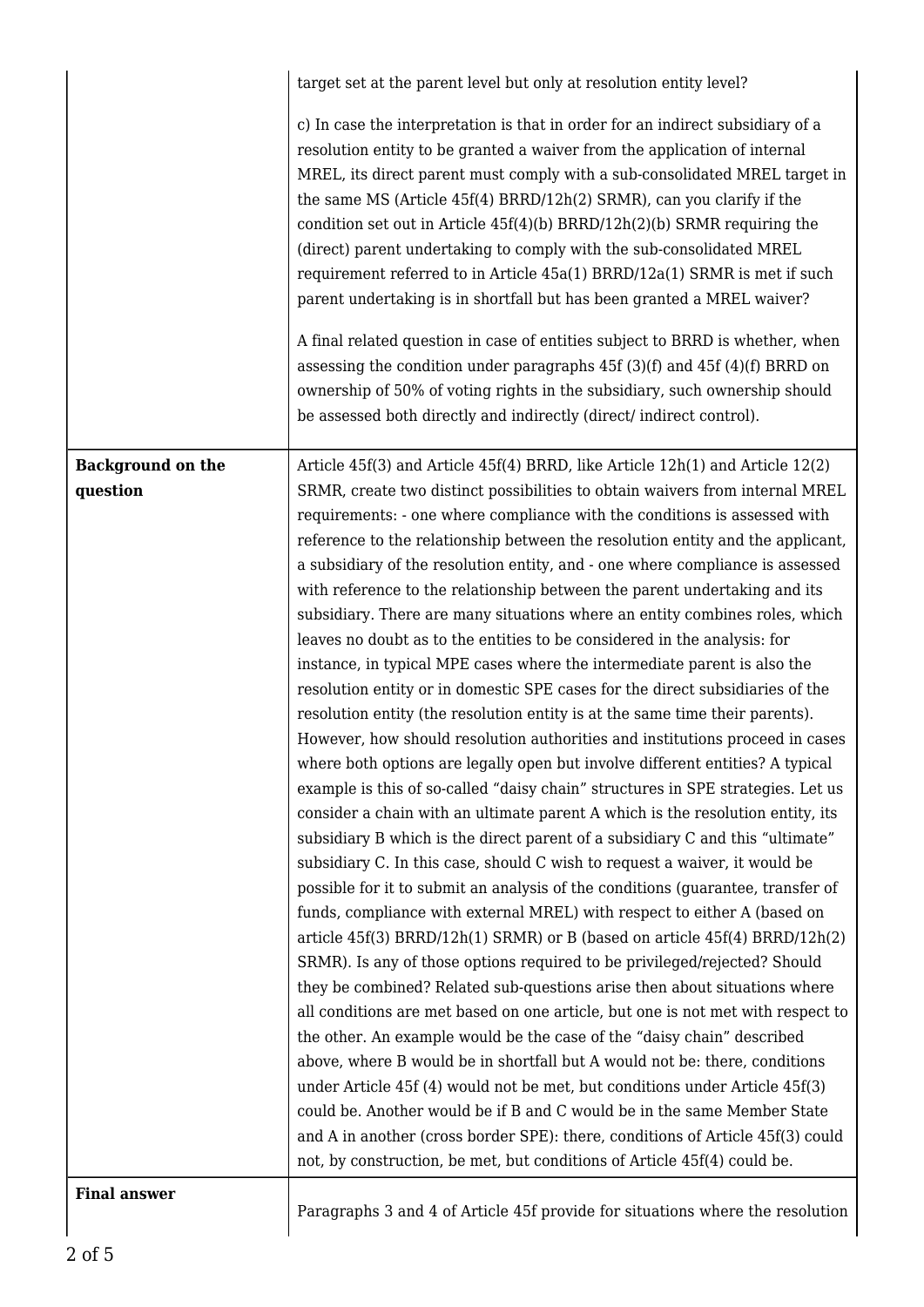|                          | target set at the parent level but only at resolution entity level?                                                                                                                                                                                                                                                                                                                                                                                                                                                                                                                                                                                                                                                                                                                                                                                                                                                                                                                                                                                                                                                                                                                                                                                                                                                                                                                                                                                                                                                                                                                                                                                                                                                                                                                                                                                                                                                                                                                                                                                                                                                                                                                                                                                                                                  |
|--------------------------|------------------------------------------------------------------------------------------------------------------------------------------------------------------------------------------------------------------------------------------------------------------------------------------------------------------------------------------------------------------------------------------------------------------------------------------------------------------------------------------------------------------------------------------------------------------------------------------------------------------------------------------------------------------------------------------------------------------------------------------------------------------------------------------------------------------------------------------------------------------------------------------------------------------------------------------------------------------------------------------------------------------------------------------------------------------------------------------------------------------------------------------------------------------------------------------------------------------------------------------------------------------------------------------------------------------------------------------------------------------------------------------------------------------------------------------------------------------------------------------------------------------------------------------------------------------------------------------------------------------------------------------------------------------------------------------------------------------------------------------------------------------------------------------------------------------------------------------------------------------------------------------------------------------------------------------------------------------------------------------------------------------------------------------------------------------------------------------------------------------------------------------------------------------------------------------------------------------------------------------------------------------------------------------------------|
|                          | c) In case the interpretation is that in order for an indirect subsidiary of a<br>resolution entity to be granted a waiver from the application of internal<br>MREL, its direct parent must comply with a sub-consolidated MREL target in<br>the same MS (Article 45f(4) BRRD/12h(2) SRMR), can you clarify if the<br>condition set out in Article $45f(4)(b)$ BRRD/ $12h(2)(b)$ SRMR requiring the<br>(direct) parent undertaking to comply with the sub-consolidated MREL<br>requirement referred to in Article 45a(1) BRRD/12a(1) SRMR is met if such<br>parent undertaking is in shortfall but has been granted a MREL waiver?<br>A final related question in case of entities subject to BRRD is whether, when<br>assessing the condition under paragraphs $45f(3)(f)$ and $45f(4)(f)$ BRRD on<br>ownership of 50% of voting rights in the subsidiary, such ownership should<br>be assessed both directly and indirectly (direct/indirect control).                                                                                                                                                                                                                                                                                                                                                                                                                                                                                                                                                                                                                                                                                                                                                                                                                                                                                                                                                                                                                                                                                                                                                                                                                                                                                                                                             |
| <b>Background on the</b> | Article 45f(3) and Article 45f(4) BRRD, like Article 12h(1) and Article 12(2)                                                                                                                                                                                                                                                                                                                                                                                                                                                                                                                                                                                                                                                                                                                                                                                                                                                                                                                                                                                                                                                                                                                                                                                                                                                                                                                                                                                                                                                                                                                                                                                                                                                                                                                                                                                                                                                                                                                                                                                                                                                                                                                                                                                                                        |
| question                 | SRMR, create two distinct possibilities to obtain waivers from internal MREL<br>requirements: - one where compliance with the conditions is assessed with<br>reference to the relationship between the resolution entity and the applicant,<br>a subsidiary of the resolution entity, and - one where compliance is assessed<br>with reference to the relationship between the parent undertaking and its<br>subsidiary. There are many situations where an entity combines roles, which<br>leaves no doubt as to the entities to be considered in the analysis: for<br>instance, in typical MPE cases where the intermediate parent is also the<br>resolution entity or in domestic SPE cases for the direct subsidiaries of the<br>resolution entity (the resolution entity is at the same time their parents).<br>However, how should resolution authorities and institutions proceed in cases<br>where both options are legally open but involve different entities? A typical<br>example is this of so-called "daisy chain" structures in SPE strategies. Let us<br>consider a chain with an ultimate parent A which is the resolution entity, its<br>subsidiary B which is the direct parent of a subsidiary C and this "ultimate"<br>subsidiary C. In this case, should C wish to request a waiver, it would be<br>possible for it to submit an analysis of the conditions (guarantee, transfer of<br>funds, compliance with external MREL) with respect to either A (based on<br>article $45f(3)$ BRRD/12h(1) SRMR) or B (based on article $45f(4)$ BRRD/12h(2)<br>SRMR). Is any of those options required to be privileged/rejected? Should<br>they be combined? Related sub-questions arise then about situations where<br>all conditions are met based on one article, but one is not met with respect to<br>the other. An example would be the case of the "daisy chain" described<br>above, where B would be in shortfall but A would not be: there, conditions<br>under Article 45f (4) would not be met, but conditions under Article 45f(3)<br>could be. Another would be if B and C would be in the same Member State<br>and A in another (cross border SPE): there, conditions of Article 45f(3) could<br>not, by construction, be met, but conditions of Article 45f(4) could be. |
| <b>Final answer</b>      |                                                                                                                                                                                                                                                                                                                                                                                                                                                                                                                                                                                                                                                                                                                                                                                                                                                                                                                                                                                                                                                                                                                                                                                                                                                                                                                                                                                                                                                                                                                                                                                                                                                                                                                                                                                                                                                                                                                                                                                                                                                                                                                                                                                                                                                                                                      |
|                          |                                                                                                                                                                                                                                                                                                                                                                                                                                                                                                                                                                                                                                                                                                                                                                                                                                                                                                                                                                                                                                                                                                                                                                                                                                                                                                                                                                                                                                                                                                                                                                                                                                                                                                                                                                                                                                                                                                                                                                                                                                                                                                                                                                                                                                                                                                      |

Paragraphs 3 and 4 of Article 45f provide for situations where the resolution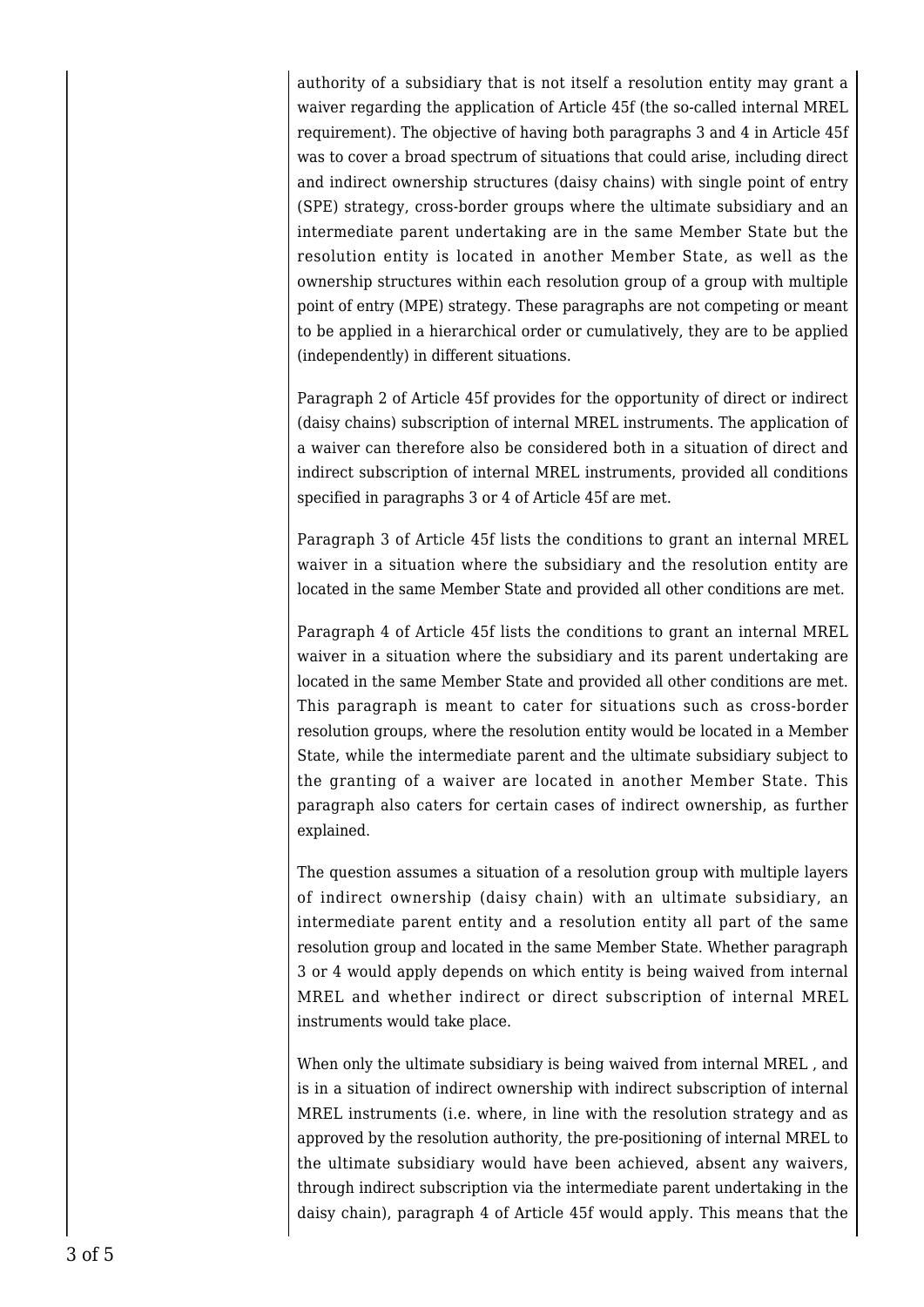authority of a subsidiary that is not itself a resolution entity may grant a waiver regarding the application of Article 45f (the so-called internal MREL requirement). The objective of having both paragraphs 3 and 4 in Article 45f was to cover a broad spectrum of situations that could arise, including direct and indirect ownership structures (daisy chains) with single point of entry (SPE) strategy, cross-border groups where the ultimate subsidiary and an intermediate parent undertaking are in the same Member State but the resolution entity is located in another Member State, as well as the ownership structures within each resolution group of a group with multiple point of entry (MPE) strategy. These paragraphs are not competing or meant to be applied in a hierarchical order or cumulatively, they are to be applied (independently) in different situations.

Paragraph 2 of Article 45f provides for the opportunity of direct or indirect (daisy chains) subscription of internal MREL instruments. The application of a waiver can therefore also be considered both in a situation of direct and indirect subscription of internal MREL instruments, provided all conditions specified in paragraphs 3 or 4 of Article 45f are met.

Paragraph 3 of Article 45f lists the conditions to grant an internal MREL waiver in a situation where the subsidiary and the resolution entity are located in the same Member State and provided all other conditions are met.

Paragraph 4 of Article 45f lists the conditions to grant an internal MREL waiver in a situation where the subsidiary and its parent undertaking are located in the same Member State and provided all other conditions are met. This paragraph is meant to cater for situations such as cross-border resolution groups, where the resolution entity would be located in a Member State, while the intermediate parent and the ultimate subsidiary subject to the granting of a waiver are located in another Member State. This paragraph also caters for certain cases of indirect ownership, as further explained.

The question assumes a situation of a resolution group with multiple layers of indirect ownership (daisy chain) with an ultimate subsidiary, an intermediate parent entity and a resolution entity all part of the same resolution group and located in the same Member State. Whether paragraph 3 or 4 would apply depends on which entity is being waived from internal MREL and whether indirect or direct subscription of internal MREL instruments would take place.

When only the ultimate subsidiary is being waived from internal MREL , and is in a situation of indirect ownership with indirect subscription of internal MREL instruments (i.e. where, in line with the resolution strategy and as approved by the resolution authority, the pre-positioning of internal MREL to the ultimate subsidiary would have been achieved, absent any waivers, through indirect subscription via the intermediate parent undertaking in the daisy chain), paragraph 4 of Article 45f would apply. This means that the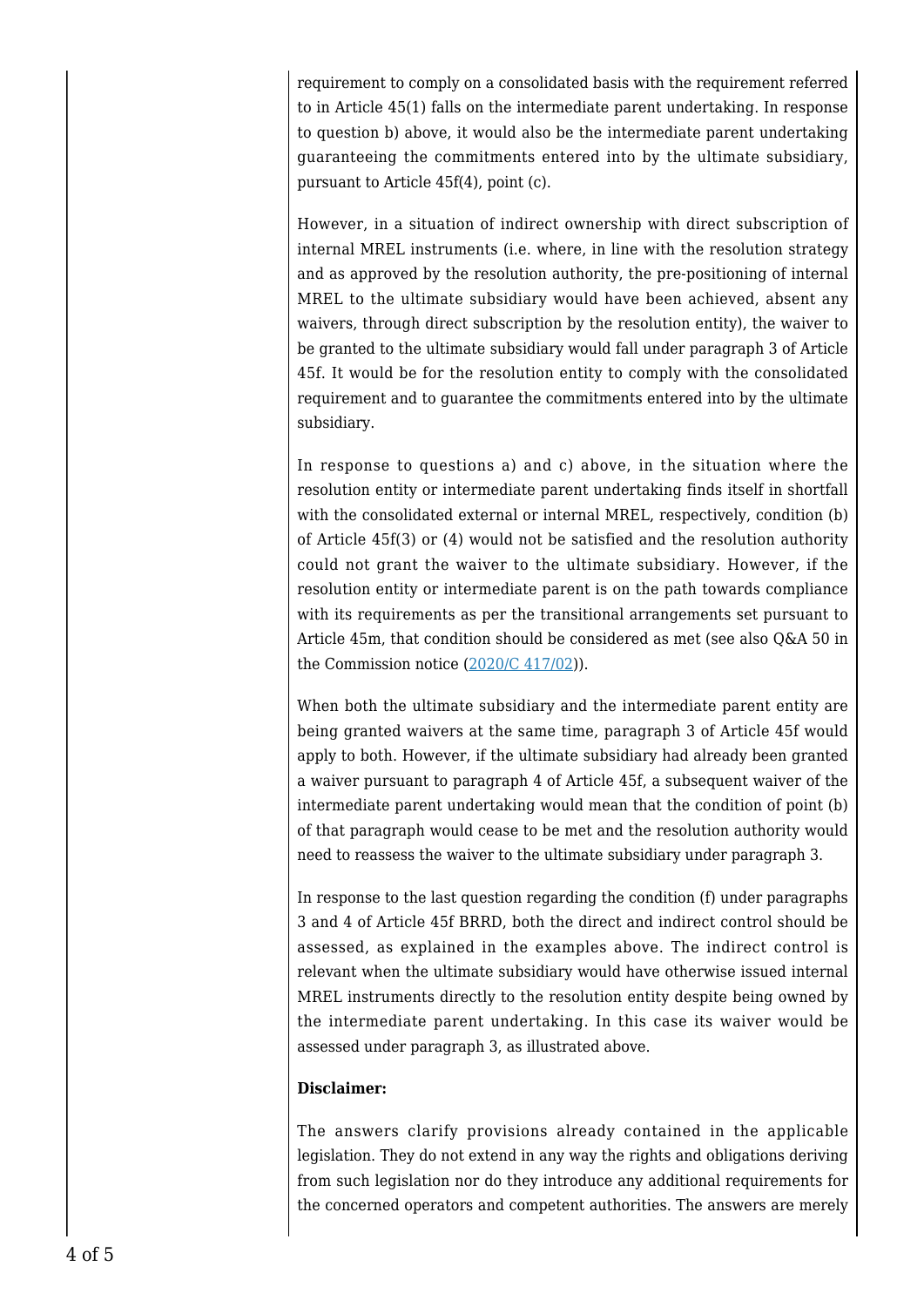requirement to comply on a consolidated basis with the requirement referred to in Article 45(1) falls on the intermediate parent undertaking. In response to question b) above, it would also be the intermediate parent undertaking guaranteeing the commitments entered into by the ultimate subsidiary, pursuant to Article 45f(4), point (c).

However, in a situation of indirect ownership with direct subscription of internal MREL instruments (i.e. where, in line with the resolution strategy and as approved by the resolution authority, the pre-positioning of internal MREL to the ultimate subsidiary would have been achieved, absent any waivers, through direct subscription by the resolution entity), the waiver to be granted to the ultimate subsidiary would fall under paragraph 3 of Article 45f. It would be for the resolution entity to comply with the consolidated requirement and to guarantee the commitments entered into by the ultimate subsidiary.

In response to questions a) and c) above, in the situation where the resolution entity or intermediate parent undertaking finds itself in shortfall with the consolidated external or internal MREL, respectively, condition (b) of Article 45f(3) or (4) would not be satisfied and the resolution authority could not grant the waiver to the ultimate subsidiary. However, if the resolution entity or intermediate parent is on the path towards compliance with its requirements as per the transitional arrangements set pursuant to Article 45m, that condition should be considered as met (see also Q&A 50 in the Commission notice  $(2020/C 417/02)$  $(2020/C 417/02)$ ).

When both the ultimate subsidiary and the intermediate parent entity are being granted waivers at the same time, paragraph 3 of Article 45f would apply to both. However, if the ultimate subsidiary had already been granted a waiver pursuant to paragraph 4 of Article 45f, a subsequent waiver of the intermediate parent undertaking would mean that the condition of point (b) of that paragraph would cease to be met and the resolution authority would need to reassess the waiver to the ultimate subsidiary under paragraph 3.

In response to the last question regarding the condition (f) under paragraphs 3 and 4 of Article 45f BRRD, both the direct and indirect control should be assessed, as explained in the examples above. The indirect control is relevant when the ultimate subsidiary would have otherwise issued internal MREL instruments directly to the resolution entity despite being owned by the intermediate parent undertaking. In this case its waiver would be assessed under paragraph 3, as illustrated above.

## **Disclaimer:**

The answers clarify provisions already contained in the applicable legislation. They do not extend in any way the rights and obligations deriving from such legislation nor do they introduce any additional requirements for the concerned operators and competent authorities. The answers are merely